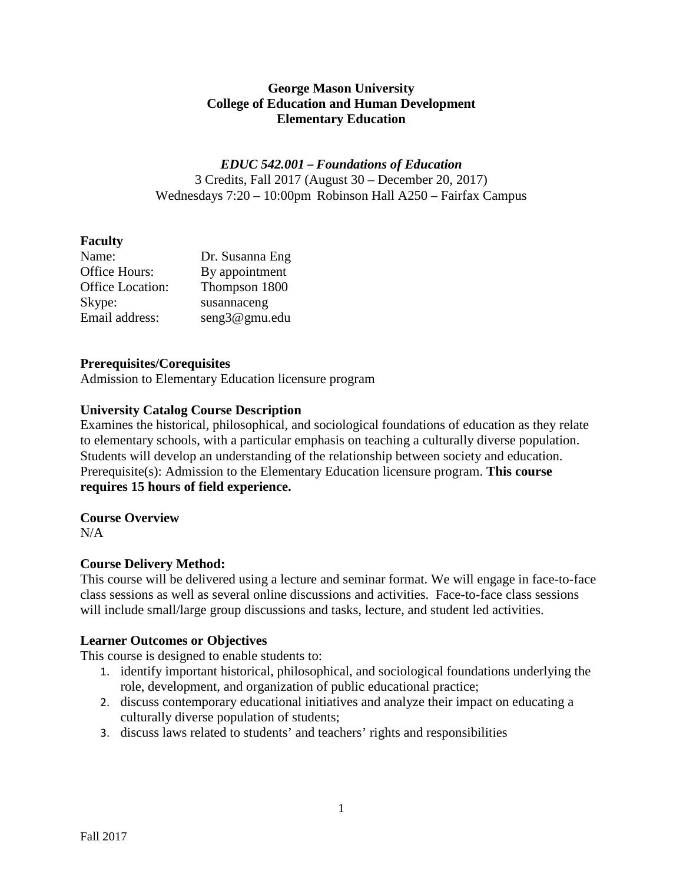## **George Mason University College of Education and Human Development Elementary Education**

*EDUC 542.001* – *Foundations of Education* 3 Credits, Fall 2017 (August 30 – December 20, 2017) Wednesdays 7:20 – 10:00pm Robinson Hall A250 – Fairfax Campus

# **Faculty**

| Name:            | Dr. Susanna Eng |
|------------------|-----------------|
| Office Hours:    | By appointment  |
| Office Location: | Thompson 1800   |
| Skype:           | susannaceng     |
| Email address:   | seng3@gmu.edu   |

## **Prerequisites/Corequisites**

Admission to Elementary Education licensure program

## **University Catalog Course Description**

Examines the historical, philosophical, and sociological foundations of education as they relate to elementary schools, with a particular emphasis on teaching a culturally diverse population. Students will develop an understanding of the relationship between society and education. Prerequisite(s): Admission to the Elementary Education licensure program. **This course requires 15 hours of field experience.**

#### **Course Overview**

 $N/A$ 

# **Course Delivery Method:**

This course will be delivered using a lecture and seminar format. We will engage in face-to-face class sessions as well as several online discussions and activities. Face-to-face class sessions will include small/large group discussions and tasks, lecture, and student led activities.

# **Learner Outcomes or Objectives**

This course is designed to enable students to:

- 1. identify important historical, philosophical, and sociological foundations underlying the role, development, and organization of public educational practice;
- 2. discuss contemporary educational initiatives and analyze their impact on educating a culturally diverse population of students;
- 3. discuss laws related to students' and teachers' rights and responsibilities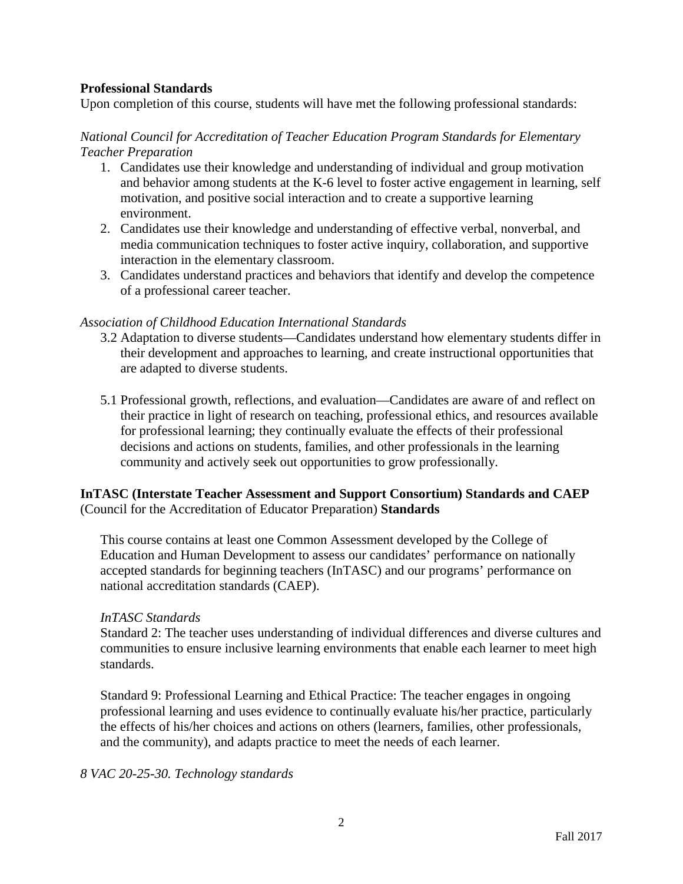### **Professional Standards**

Upon completion of this course, students will have met the following professional standards:

### *National Council for Accreditation of Teacher Education Program Standards for Elementary Teacher Preparation*

- 1. Candidates use their knowledge and understanding of individual and group motivation and behavior among students at the K-6 level to foster active engagement in learning, self motivation, and positive social interaction and to create a supportive learning environment.
- 2. Candidates use their knowledge and understanding of effective verbal, nonverbal, and media communication techniques to foster active inquiry, collaboration, and supportive interaction in the elementary classroom.
- 3. Candidates understand practices and behaviors that identify and develop the competence of a professional career teacher.

#### *Association of Childhood Education International Standards*

- 3.2 Adaptation to diverse students—Candidates understand how elementary students differ in their development and approaches to learning, and create instructional opportunities that are adapted to diverse students.
- 5.1 Professional growth, reflections, and evaluation—Candidates are aware of and reflect on their practice in light of research on teaching, professional ethics, and resources available for professional learning; they continually evaluate the effects of their professional decisions and actions on students, families, and other professionals in the learning community and actively seek out opportunities to grow professionally.

## **InTASC (Interstate Teacher Assessment and Support Consortium) Standards and CAEP**  (Council for the Accreditation of Educator Preparation) **Standards**

This course contains at least one Common Assessment developed by the College of Education and Human Development to assess our candidates' performance on nationally accepted standards for beginning teachers (InTASC) and our programs' performance on national accreditation standards (CAEP).

#### *InTASC Standards*

Standard 2: The teacher uses understanding of individual differences and diverse cultures and communities to ensure inclusive learning environments that enable each learner to meet high standards.

Standard 9: Professional Learning and Ethical Practice: The teacher engages in ongoing professional learning and uses evidence to continually evaluate his/her practice, particularly the effects of his/her choices and actions on others (learners, families, other professionals, and the community), and adapts practice to meet the needs of each learner.

#### *8 VAC 20-25-30. Technology standards*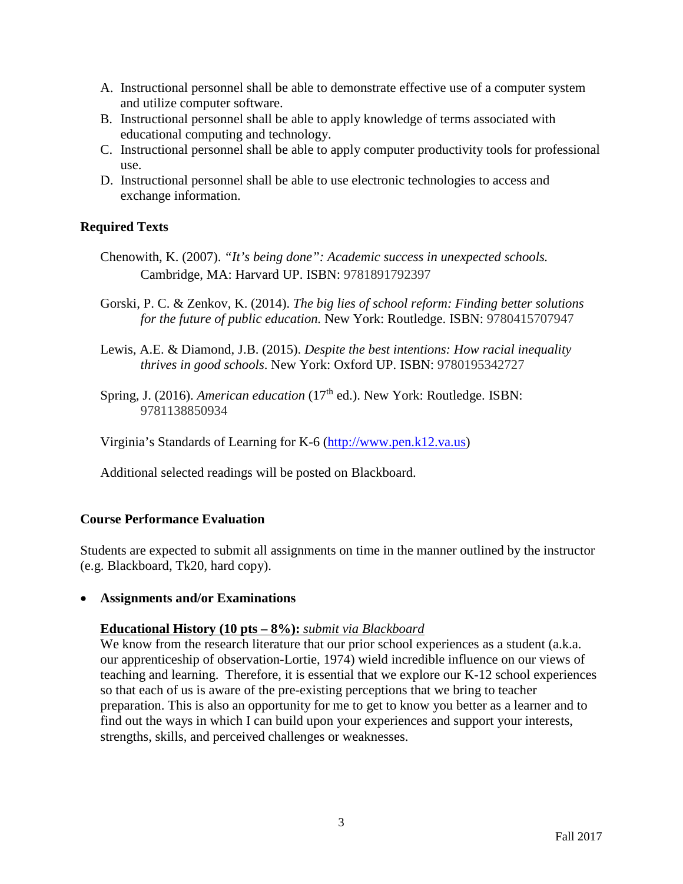- A. Instructional personnel shall be able to demonstrate effective use of a computer system and utilize computer software.
- B. Instructional personnel shall be able to apply knowledge of terms associated with educational computing and technology.
- C. Instructional personnel shall be able to apply computer productivity tools for professional use.
- D. Instructional personnel shall be able to use electronic technologies to access and exchange information.

# **Required Texts**

- Chenowith, K. (2007). *"It's being done": Academic success in unexpected schools.*  Cambridge, MA: Harvard UP. ISBN: 9781891792397
- Gorski, P. C. & Zenkov, K. (2014). *The big lies of school reform: Finding better solutions for the future of public education.* New York: Routledge. ISBN: 9780415707947
- Lewis, A.E. & Diamond, J.B. (2015). *Despite the best intentions: How racial inequality thrives in good schools*. New York: Oxford UP. ISBN: 9780195342727
- Spring, J. (2016). *American education* (17<sup>th</sup> ed.). New York: Routledge. ISBN: 9781138850934

Virginia's Standards of Learning for K-6 [\(http://www.pen.k12.va.us\)](http://www.pen.k12.va.us/)

Additional selected readings will be posted on Blackboard.

# **Course Performance Evaluation**

Students are expected to submit all assignments on time in the manner outlined by the instructor (e.g. Blackboard, Tk20, hard copy).

• **Assignments and/or Examinations**

# **Educational History (10 pts – 8%):** *submit via Blackboard*

We know from the research literature that our prior school experiences as a student (a.k.a. our apprenticeship of observation-Lortie, 1974) wield incredible influence on our views of teaching and learning. Therefore, it is essential that we explore our K-12 school experiences so that each of us is aware of the pre-existing perceptions that we bring to teacher preparation. This is also an opportunity for me to get to know you better as a learner and to find out the ways in which I can build upon your experiences and support your interests, strengths, skills, and perceived challenges or weaknesses.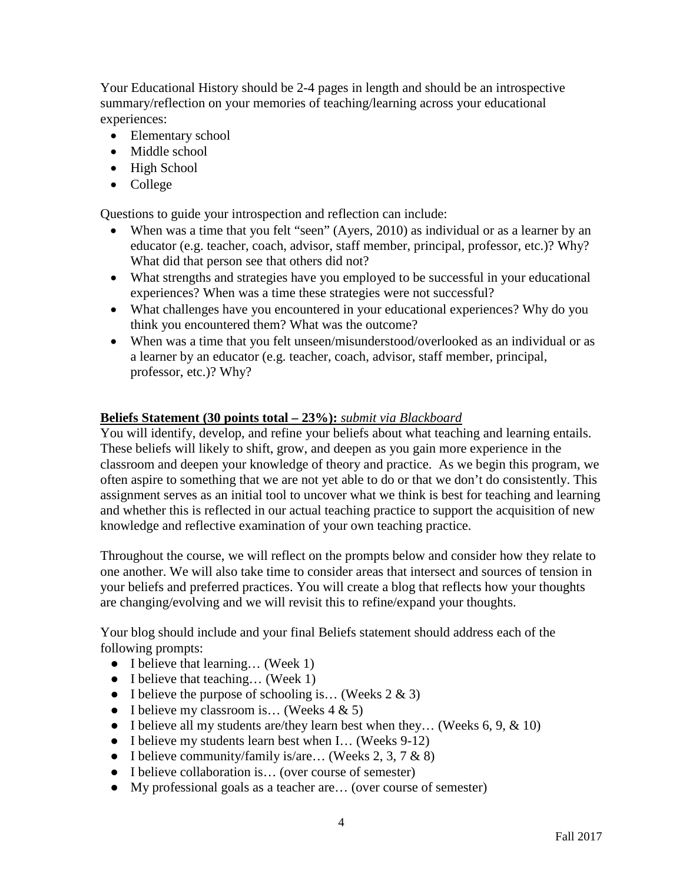Your Educational History should be 2-4 pages in length and should be an introspective summary/reflection on your memories of teaching/learning across your educational experiences:

- Elementary school
- Middle school
- High School
- College

Questions to guide your introspection and reflection can include:

- When was a time that you felt "seen" (Ayers, 2010) as individual or as a learner by an educator (e.g. teacher, coach, advisor, staff member, principal, professor, etc.)? Why? What did that person see that others did not?
- What strengths and strategies have you employed to be successful in your educational experiences? When was a time these strategies were not successful?
- What challenges have you encountered in your educational experiences? Why do you think you encountered them? What was the outcome?
- When was a time that you felt unseen/misunderstood/overlooked as an individual or as a learner by an educator (e.g. teacher, coach, advisor, staff member, principal, professor, etc.)? Why?

# **Beliefs Statement (30 points total – 23%):** *submit via Blackboard*

You will identify, develop, and refine your beliefs about what teaching and learning entails. These beliefs will likely to shift, grow, and deepen as you gain more experience in the classroom and deepen your knowledge of theory and practice. As we begin this program, we often aspire to something that we are not yet able to do or that we don't do consistently. This assignment serves as an initial tool to uncover what we think is best for teaching and learning and whether this is reflected in our actual teaching practice to support the acquisition of new knowledge and reflective examination of your own teaching practice.

Throughout the course, we will reflect on the prompts below and consider how they relate to one another. We will also take time to consider areas that intersect and sources of tension in your beliefs and preferred practices. You will create a blog that reflects how your thoughts are changing/evolving and we will revisit this to refine/expand your thoughts.

Your blog should include and your final Beliefs statement should address each of the following prompts:

- I believe that learning... (Week 1)
- I believe that teaching... (Week 1)
- I believe the purpose of schooling is... (Weeks  $2 \& 3$ )
- I believe my classroom is... (Weeks  $4 \& 5$ )
- I believe all my students are/they learn best when they... (Weeks  $6, 9, \& 10$ )
- I believe my students learn best when I... (Weeks 9-12)
- I believe community/family is/are... (Weeks 2, 3, 7  $\&$  8)
- I believe collaboration is . . (over course of semester)
- My professional goals as a teacher are… (over course of semester)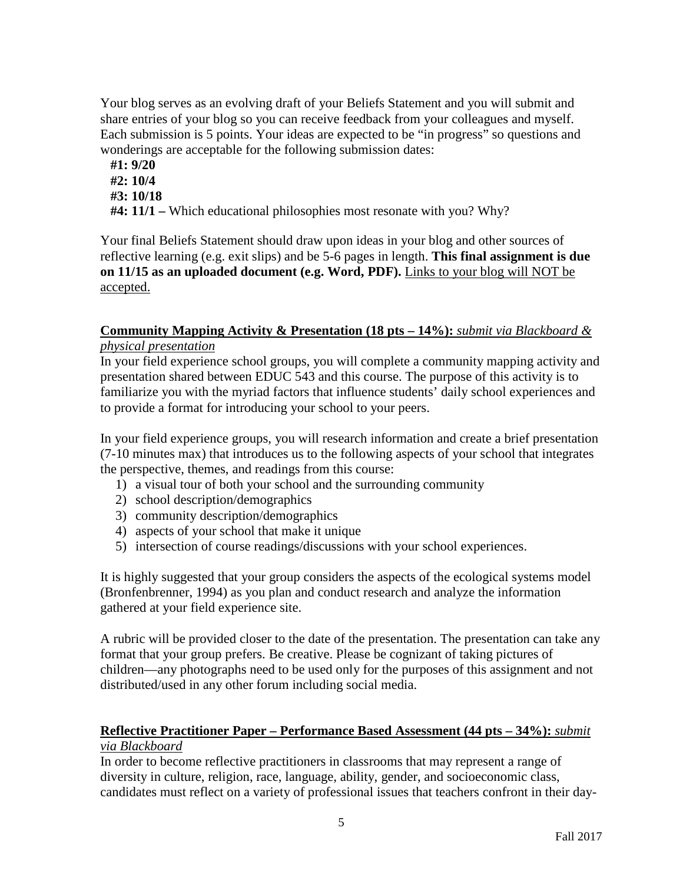Your blog serves as an evolving draft of your Beliefs Statement and you will submit and share entries of your blog so you can receive feedback from your colleagues and myself. Each submission is 5 points. Your ideas are expected to be "in progress" so questions and wonderings are acceptable for the following submission dates:

- **#1: 9/20 #2: 10/4**
- **#3: 10/18**
- **#4: 11/1 –** Which educational philosophies most resonate with you? Why?

Your final Beliefs Statement should draw upon ideas in your blog and other sources of reflective learning (e.g. exit slips) and be 5-6 pages in length. **This final assignment is due on 11/15 as an uploaded document (e.g. Word, PDF).** Links to your blog will NOT be accepted.

### **Community Mapping Activity & Presentation (18 pts – 14%):** *submit via Blackboard & physical presentation*

In your field experience school groups, you will complete a community mapping activity and presentation shared between EDUC 543 and this course. The purpose of this activity is to familiarize you with the myriad factors that influence students' daily school experiences and to provide a format for introducing your school to your peers.

In your field experience groups, you will research information and create a brief presentation (7-10 minutes max) that introduces us to the following aspects of your school that integrates the perspective, themes, and readings from this course:

- 1) a visual tour of both your school and the surrounding community
- 2) school description/demographics
- 3) community description/demographics
- 4) aspects of your school that make it unique
- 5) intersection of course readings/discussions with your school experiences.

It is highly suggested that your group considers the aspects of the ecological systems model (Bronfenbrenner, 1994) as you plan and conduct research and analyze the information gathered at your field experience site.

A rubric will be provided closer to the date of the presentation. The presentation can take any format that your group prefers. Be creative. Please be cognizant of taking pictures of children—any photographs need to be used only for the purposes of this assignment and not distributed/used in any other forum including social media.

# **Reflective Practitioner Paper – Performance Based Assessment (44 pts – 34%):** *submit via Blackboard*

In order to become reflective practitioners in classrooms that may represent a range of diversity in culture, religion, race, language, ability, gender, and socioeconomic class, candidates must reflect on a variety of professional issues that teachers confront in their day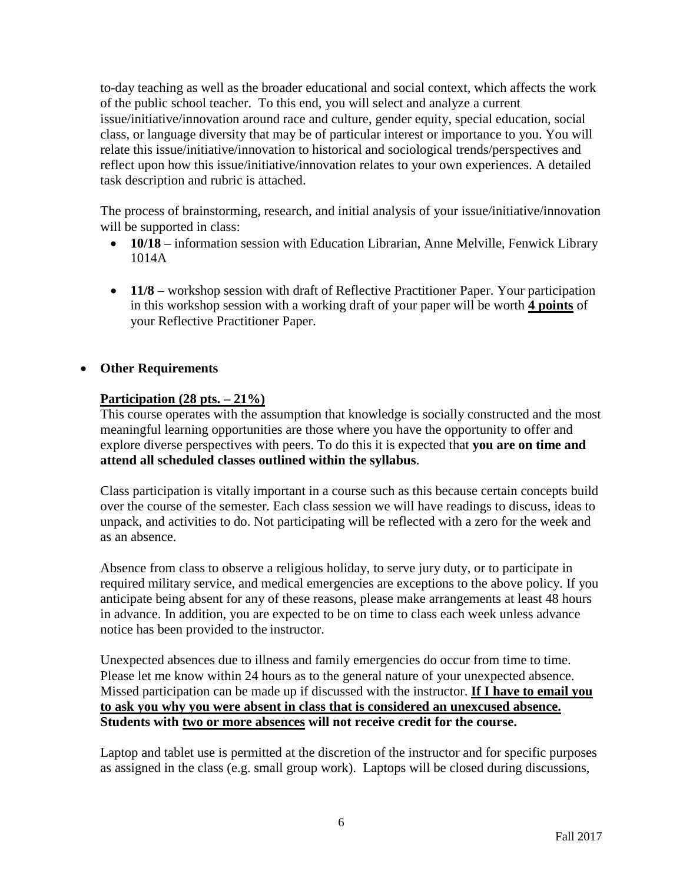to-day teaching as well as the broader educational and social context, which affects the work of the public school teacher. To this end, you will select and analyze a current issue/initiative/innovation around race and culture, gender equity, special education, social class, or language diversity that may be of particular interest or importance to you. You will relate this issue/initiative/innovation to historical and sociological trends/perspectives and reflect upon how this issue/initiative/innovation relates to your own experiences. A detailed task description and rubric is attached.

The process of brainstorming, research, and initial analysis of your issue/initiative/innovation will be supported in class:

- **10/18** information session with Education Librarian, Anne Melville, Fenwick Library 1014A
- **11/8** workshop session with draft of Reflective Practitioner Paper. Your participation in this workshop session with a working draft of your paper will be worth **4 points** of your Reflective Practitioner Paper.

# • **Other Requirements**

# **Participation (28 pts. – 21%)**

This course operates with the assumption that knowledge is socially constructed and the most meaningful learning opportunities are those where you have the opportunity to offer and explore diverse perspectives with peers. To do this it is expected that **you are on time and attend all scheduled classes outlined within the syllabus**.

Class participation is vitally important in a course such as this because certain concepts build over the course of the semester. Each class session we will have readings to discuss, ideas to unpack, and activities to do. Not participating will be reflected with a zero for the week and as an absence.

Absence from class to observe a religious holiday, to serve jury duty, or to participate in required military service, and medical emergencies are exceptions to the above policy. If you anticipate being absent for any of these reasons, please make arrangements at least 48 hours in advance. In addition, you are expected to be on time to class each week unless advance notice has been provided to the instructor.

Unexpected absences due to illness and family emergencies do occur from time to time. Please let me know within 24 hours as to the general nature of your unexpected absence. Missed participation can be made up if discussed with the instructor. **If I have to email you to ask you why you were absent in class that is considered an unexcused absence. Students with two or more absences will not receive credit for the course.**

Laptop and tablet use is permitted at the discretion of the instructor and for specific purposes as assigned in the class (e.g. small group work). Laptops will be closed during discussions,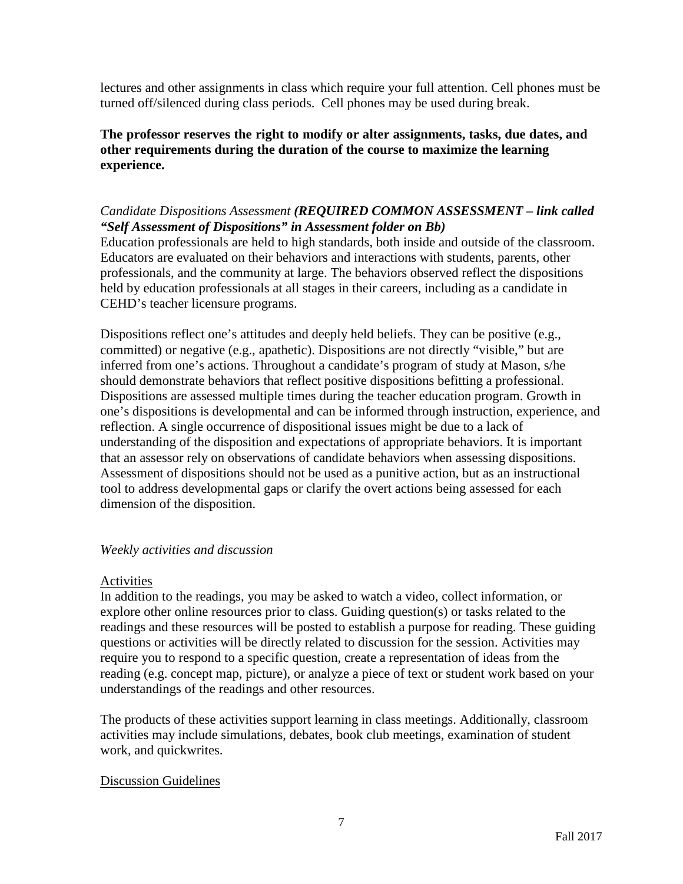lectures and other assignments in class which require your full attention. Cell phones must be turned off/silenced during class periods. Cell phones may be used during break.

**The professor reserves the right to modify or alter assignments, tasks, due dates, and other requirements during the duration of the course to maximize the learning experience.**

# *Candidate Dispositions Assessment (REQUIRED COMMON ASSESSMENT – link called "Self Assessment of Dispositions" in Assessment folder on Bb)*

Education professionals are held to high standards, both inside and outside of the classroom. Educators are evaluated on their behaviors and interactions with students, parents, other professionals, and the community at large. The behaviors observed reflect the dispositions held by education professionals at all stages in their careers, including as a candidate in CEHD's teacher licensure programs.

Dispositions reflect one's attitudes and deeply held beliefs. They can be positive (e.g., committed) or negative (e.g., apathetic). Dispositions are not directly "visible," but are inferred from one's actions. Throughout a candidate's program of study at Mason, s/he should demonstrate behaviors that reflect positive dispositions befitting a professional. Dispositions are assessed multiple times during the teacher education program. Growth in one's dispositions is developmental and can be informed through instruction, experience, and reflection. A single occurrence of dispositional issues might be due to a lack of understanding of the disposition and expectations of appropriate behaviors. It is important that an assessor rely on observations of candidate behaviors when assessing dispositions. Assessment of dispositions should not be used as a punitive action, but as an instructional tool to address developmental gaps or clarify the overt actions being assessed for each dimension of the disposition.

#### *Weekly activities and discussion*

#### Activities

In addition to the readings, you may be asked to watch a video, collect information, or explore other online resources prior to class. Guiding question(s) or tasks related to the readings and these resources will be posted to establish a purpose for reading. These guiding questions or activities will be directly related to discussion for the session. Activities may require you to respond to a specific question, create a representation of ideas from the reading (e.g. concept map, picture), or analyze a piece of text or student work based on your understandings of the readings and other resources.

The products of these activities support learning in class meetings. Additionally, classroom activities may include simulations, debates, book club meetings, examination of student work, and quickwrites.

# Discussion Guidelines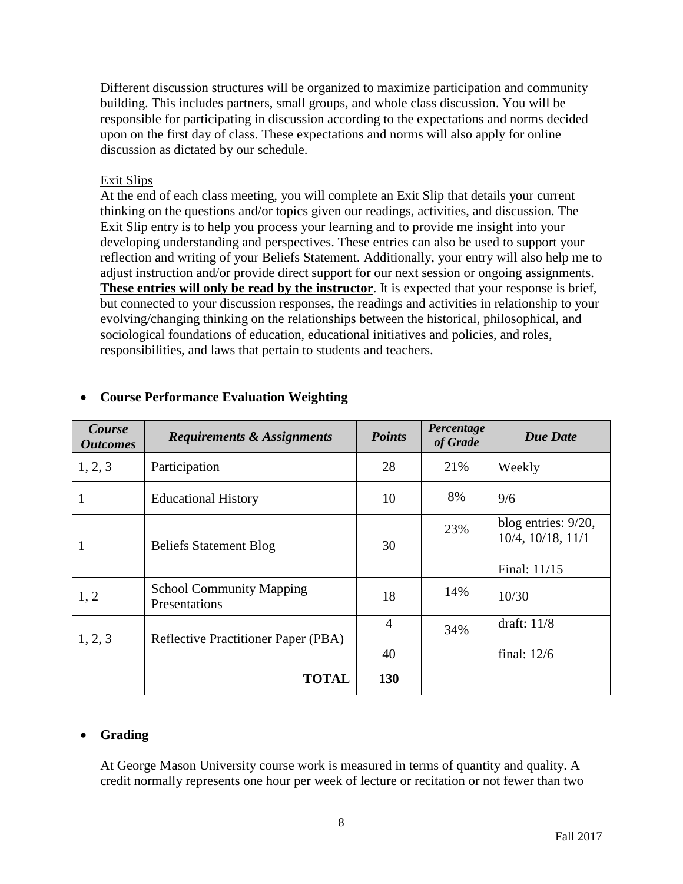Different discussion structures will be organized to maximize participation and community building. This includes partners, small groups, and whole class discussion. You will be responsible for participating in discussion according to the expectations and norms decided upon on the first day of class. These expectations and norms will also apply for online discussion as dictated by our schedule.

### Exit Slips

At the end of each class meeting, you will complete an Exit Slip that details your current thinking on the questions and/or topics given our readings, activities, and discussion. The Exit Slip entry is to help you process your learning and to provide me insight into your developing understanding and perspectives. These entries can also be used to support your reflection and writing of your Beliefs Statement. Additionally, your entry will also help me to adjust instruction and/or provide direct support for our next session or ongoing assignments. **These entries will only be read by the instructor**. It is expected that your response is brief, but connected to your discussion responses, the readings and activities in relationship to your evolving/changing thinking on the relationships between the historical, philosophical, and sociological foundations of education, educational initiatives and policies, and roles, responsibilities, and laws that pertain to students and teachers.

| Course<br><b>Outcomes</b> | <b>Requirements &amp; Assignments</b>            | <b>Points</b>  | Percentage<br>of Grade | <b>Due Date</b>                             |
|---------------------------|--------------------------------------------------|----------------|------------------------|---------------------------------------------|
| 1, 2, 3                   | Participation                                    | 28             | 21%                    | Weekly                                      |
| 1                         | <b>Educational History</b>                       | 10             | 8%                     | 9/6                                         |
| 1                         | <b>Beliefs Statement Blog</b>                    | 30             | 23%                    | blog entries: $9/20$ ,<br>10/4, 10/18, 11/1 |
|                           |                                                  |                |                        | Final: 11/15                                |
| 1, 2                      | <b>School Community Mapping</b><br>Presentations | 18             | 14%                    | 10/30                                       |
| 1, 2, 3                   | <b>Reflective Practitioner Paper (PBA)</b>       | $\overline{4}$ | 34%                    | draft: $11/8$                               |
|                           |                                                  | 40             |                        | final: $12/6$                               |
|                           | <b>TOTAL</b>                                     | 130            |                        |                                             |

# • **Course Performance Evaluation Weighting**

# • **Grading**

At George Mason University course work is measured in terms of quantity and quality. A credit normally represents one hour per week of lecture or recitation or not fewer than two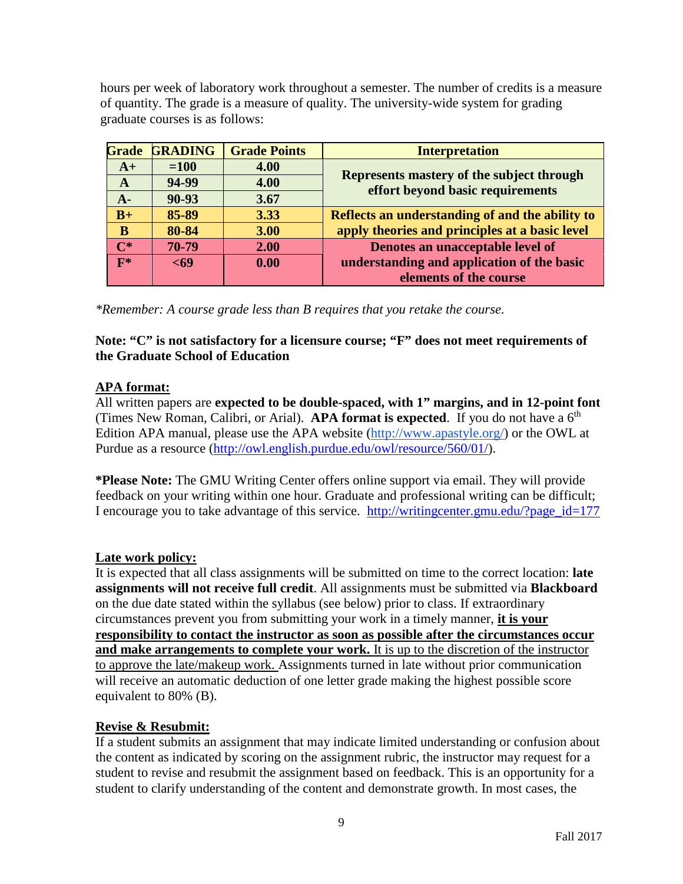hours per week of laboratory work throughout a semester. The number of credits is a measure of quantity. The grade is a measure of quality. The university-wide system for grading graduate courses is as follows:

| <b>Grade</b> | <b>GRADING</b> | <b>Grade Points</b> | <b>Interpretation</b>                                                         |
|--------------|----------------|---------------------|-------------------------------------------------------------------------------|
| $A+$         | $=100$         | 4.00                |                                                                               |
| $\mathbf{A}$ | 94-99          | 4.00                | Represents mastery of the subject through<br>effort beyond basic requirements |
| $A -$        | 90-93          | 3.67                |                                                                               |
| $B+$         | 85-89          | 3.33                | Reflects an understanding of and the ability to                               |
| B            | 80-84          | 3.00                | apply theories and principles at a basic level                                |
| $\Gamma^*$   | 70-79          | 2.00                | Denotes an unacceptable level of                                              |
| $F^*$        | <69            | 0.00                | understanding and application of the basic                                    |
|              |                |                     | elements of the course                                                        |

*\*Remember: A course grade less than B requires that you retake the course.*

**Note: "C" is not satisfactory for a licensure course; "F" does not meet requirements of the Graduate School of Education**

# **APA format:**

All written papers are **expected to be double-spaced, with 1" margins, and in 12-point font** (Times New Roman, Calibri, or Arial). **APA format is expected**. If you do not have a  $6<sup>th</sup>$ Edition APA manual, please use the APA website [\(http://www.apastyle.org/\)](http://www.apastyle.org/) or the OWL at Purdue as a resource [\(http://owl.english.purdue.edu/owl/resource/560/01/\)](http://owl.english.purdue.edu/owl/resource/560/01/).

**\*Please Note:** The GMU Writing Center offers online support via email. They will provide feedback on your writing within one hour. Graduate and professional writing can be difficult; I encourage you to take advantage of this service. [http://writingcenter.gmu.edu/?page\\_id=177](http://writingcenter.gmu.edu/?page_id=177)

# **Late work policy:**

It is expected that all class assignments will be submitted on time to the correct location: **late assignments will not receive full credit**. All assignments must be submitted via **Blackboard** on the due date stated within the syllabus (see below) prior to class. If extraordinary circumstances prevent you from submitting your work in a timely manner, **it is your responsibility to contact the instructor as soon as possible after the circumstances occur and make arrangements to complete your work.** It is up to the discretion of the instructor to approve the late/makeup work. Assignments turned in late without prior communication will receive an automatic deduction of one letter grade making the highest possible score equivalent to 80% (B).

# **Revise & Resubmit:**

If a student submits an assignment that may indicate limited understanding or confusion about the content as indicated by scoring on the assignment rubric, the instructor may request for a student to revise and resubmit the assignment based on feedback. This is an opportunity for a student to clarify understanding of the content and demonstrate growth. In most cases, the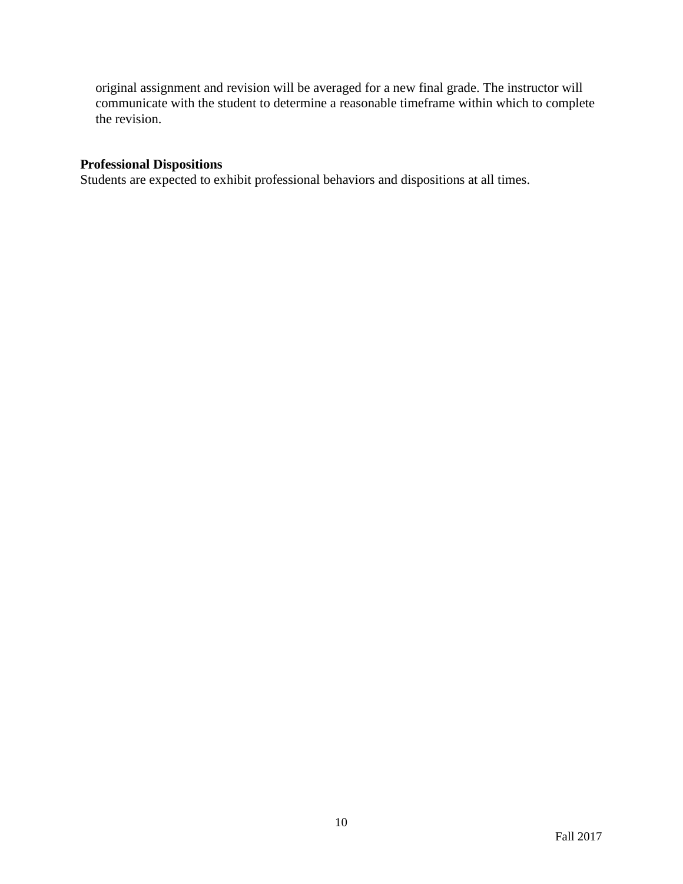original assignment and revision will be averaged for a new final grade. The instructor will communicate with the student to determine a reasonable timeframe within which to complete the revision.

## **Professional Dispositions**

Students are expected to exhibit professional behaviors and dispositions at all times.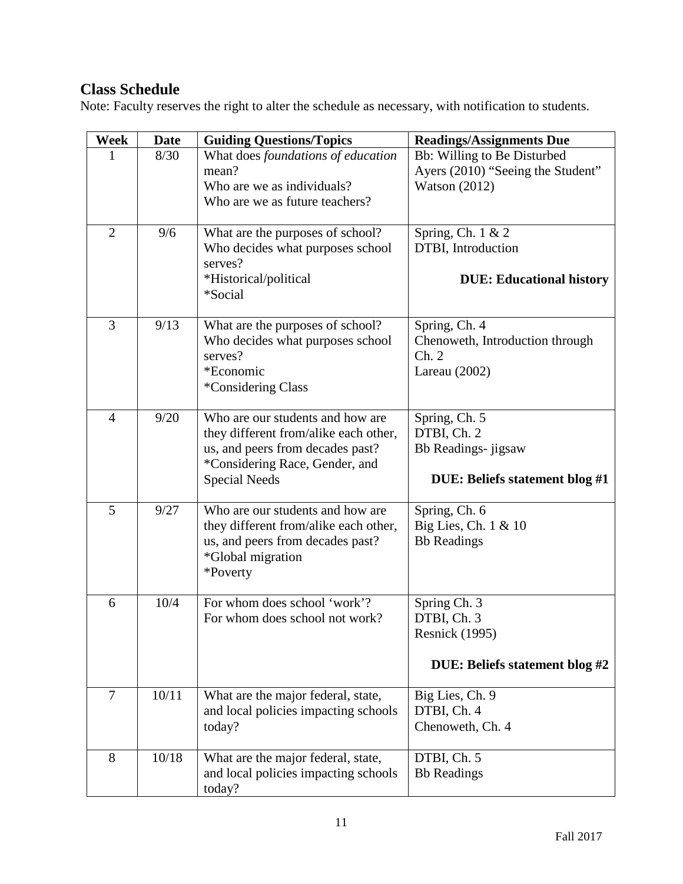# **Class Schedule**

Note: Faculty reserves the right to alter the schedule as necessary, with notification to students.

| Week           | <b>Date</b> | <b>Guiding Questions/Topics</b>                                                                                                                                         | <b>Readings/Assignments Due</b>                                                        |
|----------------|-------------|-------------------------------------------------------------------------------------------------------------------------------------------------------------------------|----------------------------------------------------------------------------------------|
|                | 8/30        | What does foundations of education<br>mean?<br>Who are we as individuals?<br>Who are we as future teachers?                                                             | Bb: Willing to Be Disturbed<br>Ayers (2010) "Seeing the Student"<br>Watson $(2012)$    |
| $\overline{2}$ | 9/6         | What are the purposes of school?<br>Who decides what purposes school<br>serves?<br>*Historical/political<br>*Social                                                     | Spring, Ch. 1 & 2<br>DTBI, Introduction<br><b>DUE: Educational history</b>             |
| 3              | 9/13        | What are the purposes of school?<br>Who decides what purposes school<br>serves?<br>*Economic<br>*Considering Class                                                      | Spring, Ch. 4<br>Chenoweth, Introduction through<br>Ch. 2<br>Lareau $(2002)$           |
| $\overline{4}$ | 9/20        | Who are our students and how are<br>they different from/alike each other,<br>us, and peers from decades past?<br>*Considering Race, Gender, and<br><b>Special Needs</b> | Spring, Ch. 5<br>DTBI, Ch. 2<br>Bb Readings- jigsaw<br>DUE: Beliefs statement blog #1  |
| 5              | 9/27        | Who are our students and how are<br>they different from/alike each other,<br>us, and peers from decades past?<br><i>*Global migration</i><br>*Poverty                   | Spring, Ch. 6<br>Big Lies, Ch. 1 & 10<br><b>Bb</b> Readings                            |
| 6              | 10/4        | For whom does school 'work'?<br>For whom does school not work?                                                                                                          | Spring Ch. 3<br>DTBI, Ch. 3<br><b>Resnick</b> (1995)<br>DUE: Beliefs statement blog #2 |
| $\overline{7}$ | 10/11       | What are the major federal, state,<br>and local policies impacting schools<br>today?                                                                                    | Big Lies, Ch. 9<br>DTBI, Ch. 4<br>Chenoweth, Ch. 4                                     |
| 8              | 10/18       | What are the major federal, state,<br>and local policies impacting schools<br>today?                                                                                    | DTBI, Ch. 5<br><b>Bb</b> Readings                                                      |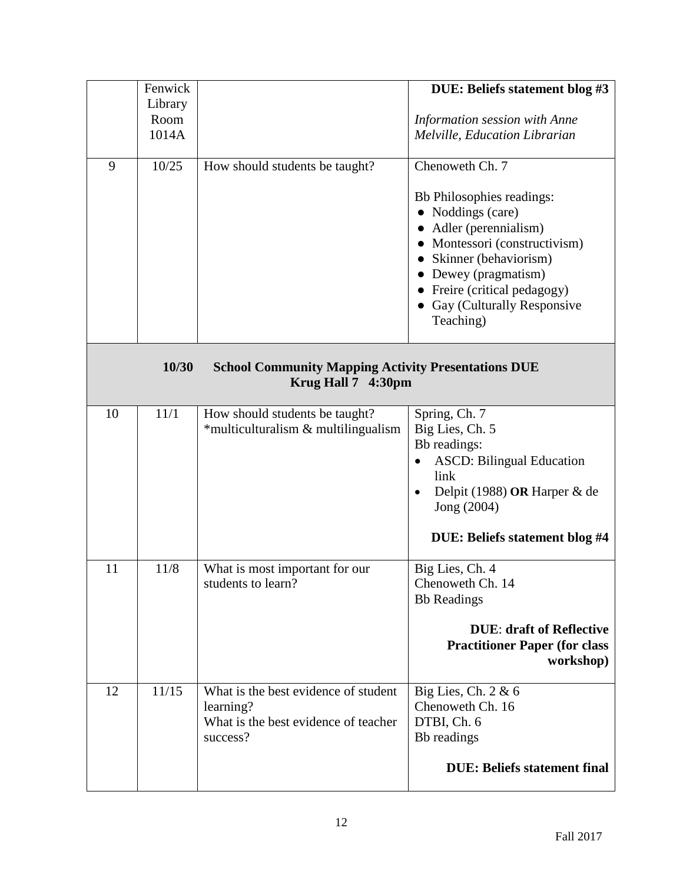|    | Fenwick |                                                                                  | DUE: Beliefs statement blog #3                |
|----|---------|----------------------------------------------------------------------------------|-----------------------------------------------|
|    |         |                                                                                  |                                               |
|    | Library |                                                                                  |                                               |
|    | Room    |                                                                                  | Information session with Anne                 |
|    | 1014A   |                                                                                  | Melville, Education Librarian                 |
|    |         |                                                                                  |                                               |
| 9  | 10/25   | How should students be taught?                                                   | Chenoweth Ch. 7                               |
|    |         |                                                                                  |                                               |
|    |         |                                                                                  | Bb Philosophies readings:                     |
|    |         |                                                                                  | Noddings (care)                               |
|    |         |                                                                                  | Adler (perennialism)                          |
|    |         |                                                                                  | • Montessori (constructivism)                 |
|    |         |                                                                                  | Skinner (behaviorism)                         |
|    |         |                                                                                  | • Dewey (pragmatism)                          |
|    |         |                                                                                  | • Freire (critical pedagogy)                  |
|    |         |                                                                                  | Gay (Culturally Responsive                    |
|    |         |                                                                                  |                                               |
|    |         |                                                                                  | Teaching)                                     |
|    |         |                                                                                  |                                               |
|    | 10/30   | <b>School Community Mapping Activity Presentations DUE</b><br>Krug Hall 7 4:30pm |                                               |
| 10 | 11/1    | How should students be taught?                                                   | Spring, Ch. 7                                 |
|    |         | *multiculturalism & multilingualism                                              | Big Lies, Ch. 5                               |
|    |         |                                                                                  | Bb readings:                                  |
|    |         |                                                                                  | <b>ASCD: Bilingual Education</b><br>$\bullet$ |
|    |         |                                                                                  | link                                          |
|    |         |                                                                                  | Delpit (1988) OR Harper & de                  |
|    |         |                                                                                  | Jong (2004)                                   |
|    |         |                                                                                  |                                               |
|    |         |                                                                                  | DUE: Beliefs statement blog #4                |
| 11 | 11/8    | What is most important for our                                                   | Big Lies, Ch. 4                               |
|    |         | students to learn?                                                               | Chenoweth Ch. 14                              |
|    |         |                                                                                  | <b>Bb</b> Readings                            |
|    |         |                                                                                  |                                               |
|    |         |                                                                                  | <b>DUE: draft of Reflective</b>               |
|    |         |                                                                                  | <b>Practitioner Paper (for class</b>          |
|    |         |                                                                                  | workshop)                                     |
|    |         |                                                                                  |                                               |
| 12 | 11/15   | What is the best evidence of student                                             | Big Lies, Ch. $2 \& 6$                        |
|    |         | learning?                                                                        | Chenoweth Ch. 16                              |
|    |         | What is the best evidence of teacher                                             | DTBI, Ch. 6                                   |
|    |         | success?                                                                         | Bb readings                                   |
|    |         |                                                                                  |                                               |
|    |         |                                                                                  | <b>DUE: Beliefs statement final</b>           |
|    |         |                                                                                  |                                               |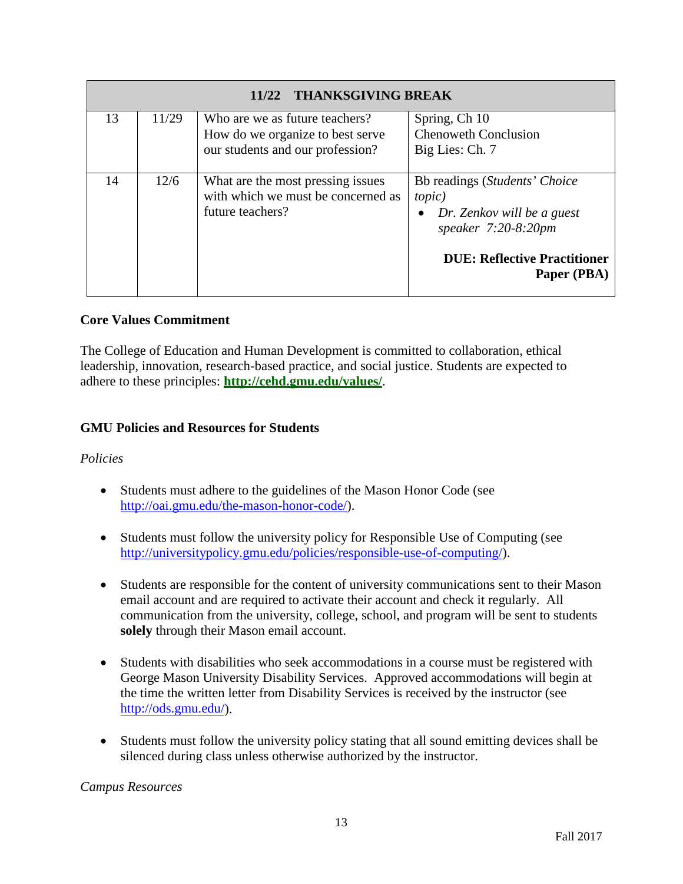|    | <b>THANKSGIVING BREAK</b><br>11/22 |                                                                                                        |                                                                                                                                                               |  |
|----|------------------------------------|--------------------------------------------------------------------------------------------------------|---------------------------------------------------------------------------------------------------------------------------------------------------------------|--|
| 13 | 11/29                              | Who are we as future teachers?<br>How do we organize to best serve<br>our students and our profession? | Spring, Ch 10<br><b>Chenoweth Conclusion</b><br>Big Lies: Ch. 7                                                                                               |  |
| 14 | 12/6                               | What are the most pressing issues<br>with which we must be concerned as<br>future teachers?            | Bb readings (Students' Choice<br><i>topic</i> )<br>Dr. Zenkov will be a guest<br>speaker $7:20-8:20$ pm<br><b>DUE: Reflective Practitioner</b><br>Paper (PBA) |  |

# **Core Values Commitment**

The College of Education and Human Development is committed to collaboration, ethical leadership, innovation, research-based practice, and social justice. Students are expected to adhere to these principles: **<http://cehd.gmu.edu/values/>**.

# **GMU Policies and Resources for Students**

# *Policies*

- Students must adhere to the guidelines of the Mason Honor Code (see [http://oai.gmu.edu/the-mason-honor-code/\)](http://oai.gmu.edu/the-mason-honor-code/).
- Students must follow the university policy for Responsible Use of Computing (see [http://universitypolicy.gmu.edu/policies/responsible-use-of-computing/\)](http://universitypolicy.gmu.edu/policies/responsible-use-of-computing/).
- Students are responsible for the content of university communications sent to their Mason email account and are required to activate their account and check it regularly. All communication from the university, college, school, and program will be sent to students **solely** through their Mason email account.
- Students with disabilities who seek accommodations in a course must be registered with George Mason University Disability Services. Approved accommodations will begin at the time the written letter from Disability Services is received by the instructor (see [http://ods.gmu.edu/\)](http://ods.gmu.edu/).
- Students must follow the university policy stating that all sound emitting devices shall be silenced during class unless otherwise authorized by the instructor.

*Campus Resources*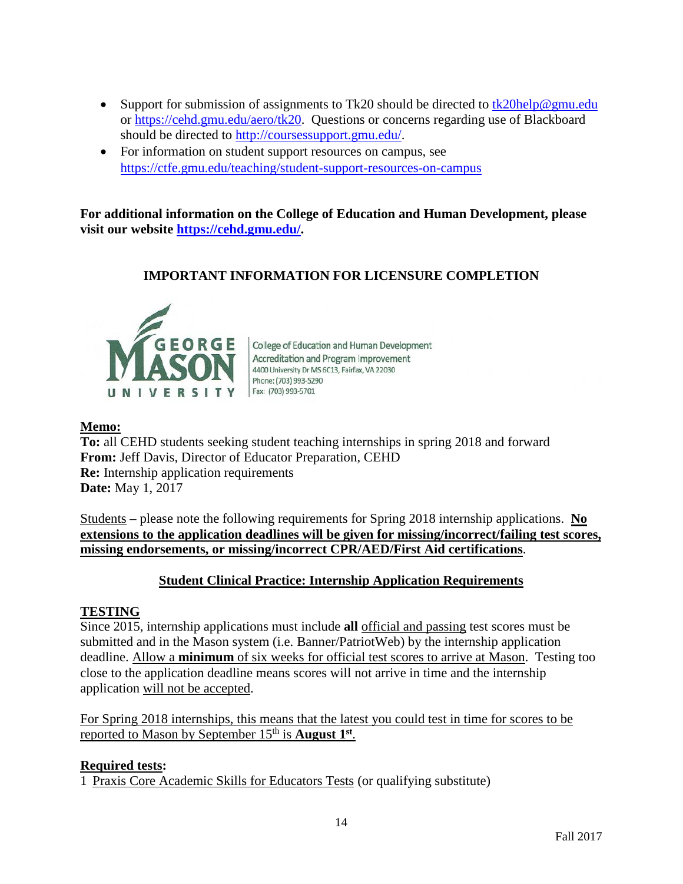- Support for submission of assignments to Tk20 should be directed to  $tk20$ help@gmu.edu or [https://cehd.gmu.edu/aero/tk20.](https://cehd.gmu.edu/aero/tk20) Questions or concerns regarding use of Blackboard should be directed to [http://coursessupport.gmu.edu/.](http://coursessupport.gmu.edu/)
- For information on student support resources on campus, see <https://ctfe.gmu.edu/teaching/student-support-resources-on-campus>

**For additional information on the College of Education and Human Development, please visit our website [https://cehd.gmu.edu/.](https://cehd.gmu.edu/)**

# **IMPORTANT INFORMATION FOR LICENSURE COMPLETION**



College of Education and Human Development Accreditation and Program Improvement 4400 University Dr MS 6C13, Fairfax, VA 22030 Phone: (703) 993-5290 Fax: (703) 993-5701

# **Memo:**

**To:** all CEHD students seeking student teaching internships in spring 2018 and forward **From:** Jeff Davis, Director of Educator Preparation, CEHD **Re:** Internship application requirements **Date:** May 1, 2017

Students – please note the following requirements for Spring 2018 internship applications. **No extensions to the application deadlines will be given for missing/incorrect/failing test scores, missing endorsements, or missing/incorrect CPR/AED/First Aid certifications**.

# **Student Clinical Practice: Internship Application Requirements**

# **TESTING**

Since 2015, internship applications must include **all** official and passing test scores must be submitted and in the Mason system (i.e. Banner/PatriotWeb) by the internship application deadline. Allow a **minimum** of six weeks for official test scores to arrive at Mason. Testing too close to the application deadline means scores will not arrive in time and the internship application will not be accepted.

For Spring 2018 internships, this means that the latest you could test in time for scores to be reported to Mason by September 15th is **August 1st**.

# **Required tests:**

1 Praxis Core Academic Skills for Educators Tests (or qualifying substitute)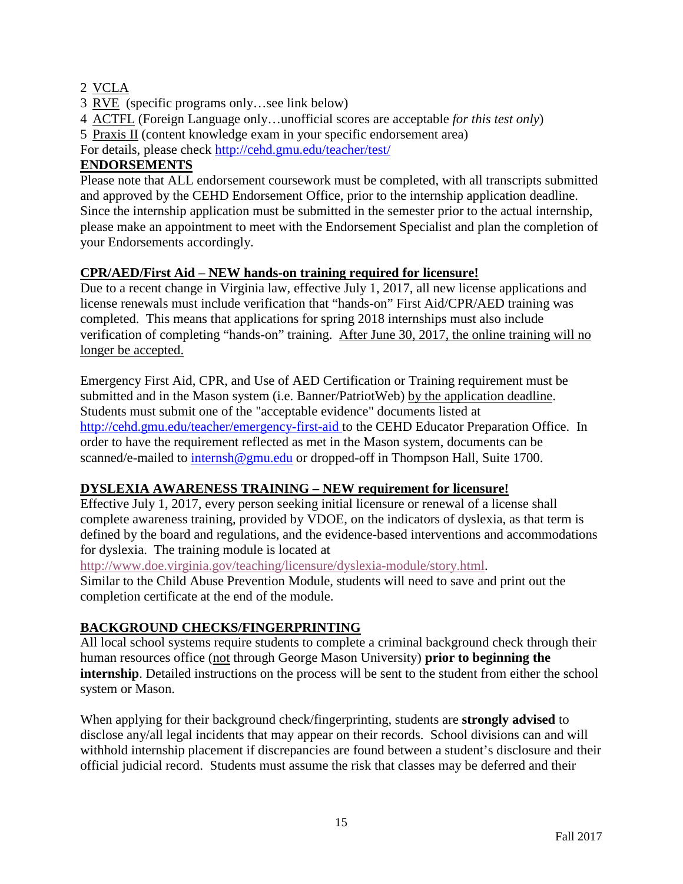# 2 VCLA

- 3 RVE (specific programs only…see link below)
- 4 ACTFL (Foreign Language only…unofficial scores are acceptable *for this test only*)
- 5 Praxis II (content knowledge exam in your specific endorsement area)

For details, please check<http://cehd.gmu.edu/teacher/test/>

# **ENDORSEMENTS**

Please note that ALL endorsement coursework must be completed, with all transcripts submitted and approved by the CEHD Endorsement Office, prior to the internship application deadline. Since the internship application must be submitted in the semester prior to the actual internship, please make an appointment to meet with the Endorsement Specialist and plan the completion of your Endorsements accordingly.

# **CPR/AED/First Aid** – **NEW hands-on training required for licensure!**

Due to a recent change in Virginia law, effective July 1, 2017, all new license applications and license renewals must include verification that "hands-on" First Aid/CPR/AED training was completed. This means that applications for spring 2018 internships must also include verification of completing "hands-on" training. After June 30, 2017, the online training will no longer be accepted.

Emergency First Aid, CPR, and Use of AED Certification or Training requirement must be submitted and in the Mason system (i.e. Banner/PatriotWeb) by the application deadline. Students must submit one of the "acceptable evidence" documents listed at <http://cehd.gmu.edu/teacher/emergency-first-aid> to the CEHD Educator Preparation Office. In order to have the requirement reflected as met in the Mason system, documents can be scanned/e-mailed to [internsh@gmu.edu](mailto:internsh@gmu.edu) or dropped-off in Thompson Hall, Suite 1700.

# **DYSLEXIA AWARENESS TRAINING – NEW requirement for licensure!**

Effective July 1, 2017, every person seeking initial licensure or renewal of a license shall complete awareness training, provided by VDOE, on the indicators of dyslexia, as that term is defined by the board and regulations, and the evidence-based interventions and accommodations for dyslexia. The training module is located at

[http://www.doe.virginia.gov/teaching/licensure/dyslexia-module/story.html.](http://www.doe.virginia.gov/teaching/licensure/dyslexia-module/story.html)

Similar to the Child Abuse Prevention Module, students will need to save and print out the completion certificate at the end of the module.

# **BACKGROUND CHECKS/FINGERPRINTING**

All local school systems require students to complete a criminal background check through their human resources office (not through George Mason University) **prior to beginning the internship**. Detailed instructions on the process will be sent to the student from either the school system or Mason.

When applying for their background check/fingerprinting, students are **strongly advised** to disclose any/all legal incidents that may appear on their records. School divisions can and will withhold internship placement if discrepancies are found between a student's disclosure and their official judicial record. Students must assume the risk that classes may be deferred and their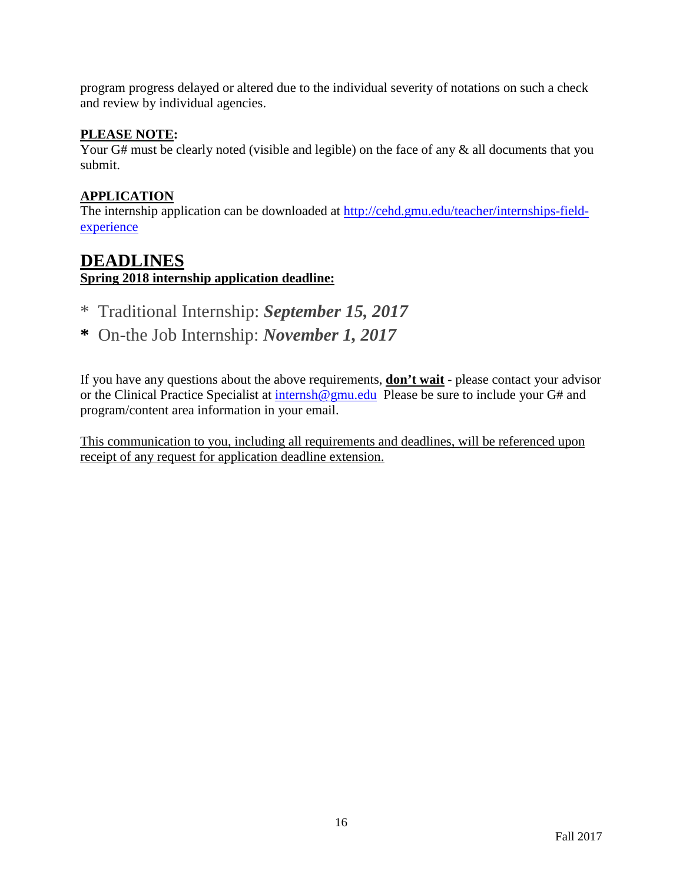program progress delayed or altered due to the individual severity of notations on such a check and review by individual agencies.

# **PLEASE NOTE:**

Your G# must be clearly noted (visible and legible) on the face of any  $\&$  all documents that you submit.

# **APPLICATION**

The internship application can be downloaded at [http://cehd.gmu.edu/teacher/internships-field](http://cehd.gmu.edu/teacher/internships-field-experience)[experience](http://cehd.gmu.edu/teacher/internships-field-experience)

# **DEADLINES**

**Spring 2018 internship application deadline:** 

- \* Traditional Internship: *September 15, 2017*
- **\*** On-the Job Internship: *November 1, 2017*

If you have any questions about the above requirements, **don't wait** - please contact your advisor or the Clinical Practice Specialist at [internsh@gmu.edu](mailto:internsh@gmu.edu) Please be sure to include your G# and program/content area information in your email.

This communication to you, including all requirements and deadlines, will be referenced upon receipt of any request for application deadline extension.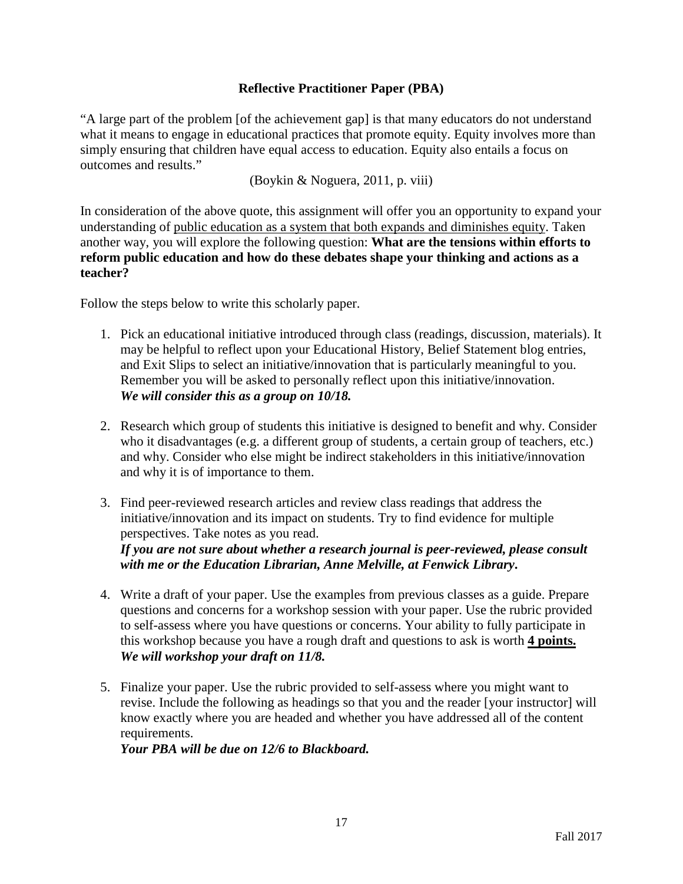# **Reflective Practitioner Paper (PBA)**

"A large part of the problem [of the achievement gap] is that many educators do not understand what it means to engage in educational practices that promote equity. Equity involves more than simply ensuring that children have equal access to education. Equity also entails a focus on outcomes and results."

(Boykin & Noguera, 2011, p. viii)

In consideration of the above quote, this assignment will offer you an opportunity to expand your understanding of public education as a system that both expands and diminishes equity. Taken another way, you will explore the following question: **What are the tensions within efforts to reform public education and how do these debates shape your thinking and actions as a teacher?**

Follow the steps below to write this scholarly paper.

- 1. Pick an educational initiative introduced through class (readings, discussion, materials). It may be helpful to reflect upon your Educational History, Belief Statement blog entries, and Exit Slips to select an initiative/innovation that is particularly meaningful to you. Remember you will be asked to personally reflect upon this initiative/innovation. *We will consider this as a group on 10/18.*
- 2. Research which group of students this initiative is designed to benefit and why. Consider who it disadvantages (e.g. a different group of students, a certain group of teachers, etc.) and why. Consider who else might be indirect stakeholders in this initiative/innovation and why it is of importance to them.
- 3. Find peer-reviewed research articles and review class readings that address the initiative/innovation and its impact on students. Try to find evidence for multiple perspectives. Take notes as you read. *If you are not sure about whether a research journal is peer-reviewed, please consult*

*with me or the Education Librarian, Anne Melville, at Fenwick Library***.** 

- 4. Write a draft of your paper. Use the examples from previous classes as a guide. Prepare questions and concerns for a workshop session with your paper. Use the rubric provided to self-assess where you have questions or concerns. Your ability to fully participate in this workshop because you have a rough draft and questions to ask is worth **4 points.** *We will workshop your draft on 11/8.*
- 5. Finalize your paper. Use the rubric provided to self-assess where you might want to revise. Include the following as headings so that you and the reader [your instructor] will know exactly where you are headed and whether you have addressed all of the content requirements.

*Your PBA will be due on 12/6 to Blackboard.*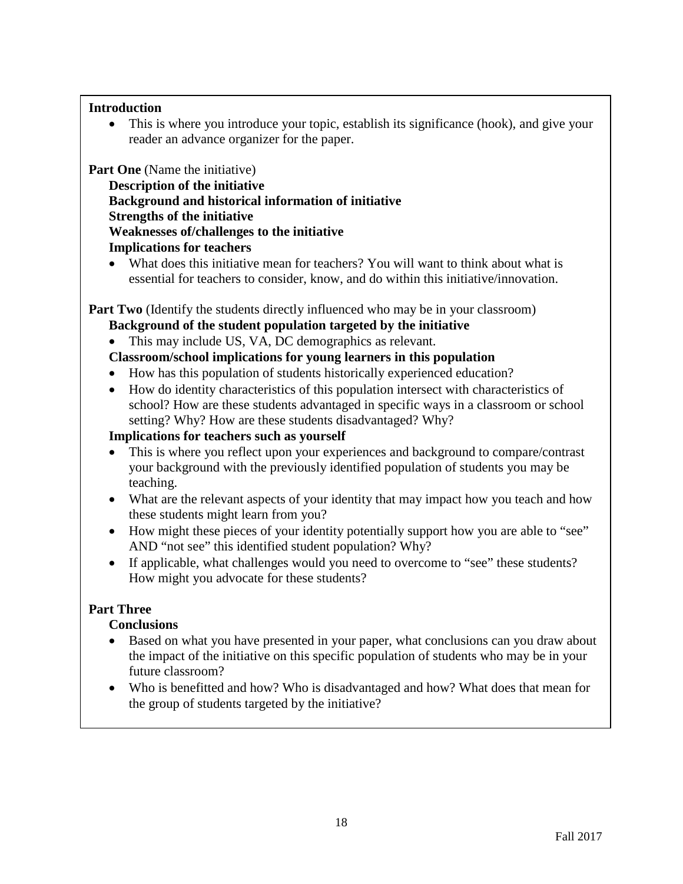# **Introduction**

• This is where you introduce your topic, establish its significance (hook), and give your reader an advance organizer for the paper.

**Part One** (Name the initiative)

**Description of the initiative Background and historical information of initiative Strengths of the initiative Weaknesses of/challenges to the initiative Implications for teachers** 

• What does this initiative mean for teachers? You will want to think about what is essential for teachers to consider, know, and do within this initiative/innovation.

**Part Two** (Identify the students directly influenced who may be in your classroom)

# **Background of the student population targeted by the initiative**

This may include US, VA, DC demographics as relevant.

# **Classroom/school implications for young learners in this population**

- How has this population of students historically experienced education?
- How do identity characteristics of this population intersect with characteristics of school? How are these students advantaged in specific ways in a classroom or school setting? Why? How are these students disadvantaged? Why?

# **Implications for teachers such as yourself**

- This is where you reflect upon your experiences and background to compare/contrast your background with the previously identified population of students you may be teaching.
- What are the relevant aspects of your identity that may impact how you teach and how these students might learn from you?
- How might these pieces of your identity potentially support how you are able to "see" AND "not see" this identified student population? Why?
- If applicable, what challenges would you need to overcome to "see" these students? How might you advocate for these students?

# **Part Three**

# **Conclusions**

- Based on what you have presented in your paper, what conclusions can you draw about the impact of the initiative on this specific population of students who may be in your future classroom?
- Who is benefitted and how? Who is disadvantaged and how? What does that mean for the group of students targeted by the initiative?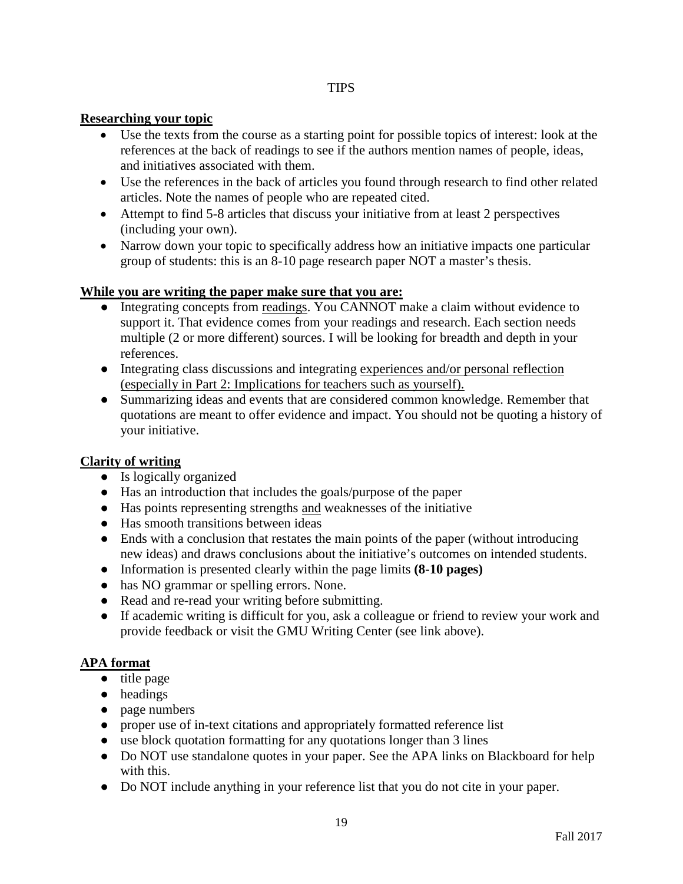## **Researching your topic**

- Use the texts from the course as a starting point for possible topics of interest: look at the references at the back of readings to see if the authors mention names of people, ideas, and initiatives associated with them.
- Use the references in the back of articles you found through research to find other related articles. Note the names of people who are repeated cited.
- Attempt to find 5-8 articles that discuss your initiative from at least 2 perspectives (including your own).
- Narrow down your topic to specifically address how an initiative impacts one particular group of students: this is an 8-10 page research paper NOT a master's thesis.

## **While you are writing the paper make sure that you are:**

- Integrating concepts from readings. You CANNOT make a claim without evidence to support it. That evidence comes from your readings and research. Each section needs multiple (2 or more different) sources. I will be looking for breadth and depth in your references.
- Integrating class discussions and integrating experiences and/or personal reflection (especially in Part 2: Implications for teachers such as yourself).
- Summarizing ideas and events that are considered common knowledge. Remember that quotations are meant to offer evidence and impact. You should not be quoting a history of your initiative.

#### **Clarity of writing**

- Is logically organized
- Has an introduction that includes the goals/purpose of the paper
- Has points representing strengths and weaknesses of the initiative
- Has smooth transitions between ideas
- Ends with a conclusion that restates the main points of the paper (without introducing new ideas) and draws conclusions about the initiative's outcomes on intended students.
- Information is presented clearly within the page limits **(8-10 pages)**
- has NO grammar or spelling errors. None.
- Read and re-read your writing before submitting.
- If academic writing is difficult for you, ask a colleague or friend to review your work and provide feedback or visit the GMU Writing Center (see link above).

# **APA format**

- title page
- headings
- page numbers
- proper use of in-text citations and appropriately formatted reference list
- use block quotation formatting for any quotations longer than 3 lines
- Do NOT use standalone quotes in your paper. See the APA links on Blackboard for help with this.
- Do NOT include anything in your reference list that you do not cite in your paper.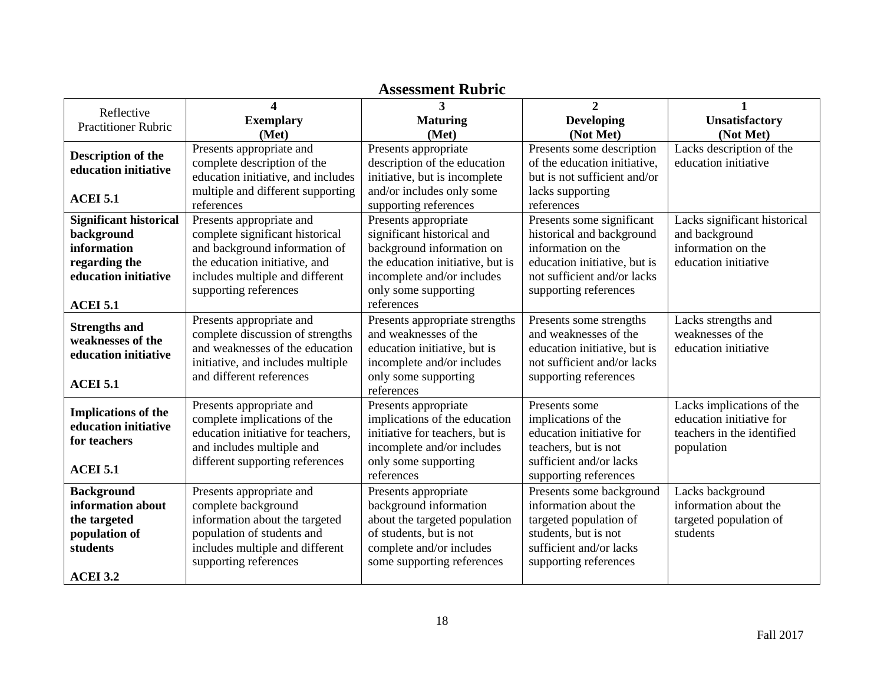| <b>Assessment Rubric</b>      |                                    |                                  |                              |                              |
|-------------------------------|------------------------------------|----------------------------------|------------------------------|------------------------------|
|                               | $\boldsymbol{\Lambda}$             | $\mathbf{3}$                     | $\overline{2}$               | $\mathbf{1}$                 |
| Reflective                    | <b>Exemplary</b>                   | <b>Maturing</b>                  | <b>Developing</b>            | <b>Unsatisfactory</b>        |
| <b>Practitioner Rubric</b>    | (Met)                              | (Met)                            | (Not Met)                    | (Not Met)                    |
|                               | Presents appropriate and           | Presents appropriate             | Presents some description    | Lacks description of the     |
| Description of the            | complete description of the        | description of the education     | of the education initiative, | education initiative         |
| education initiative          | education initiative, and includes | initiative, but is incomplete    | but is not sufficient and/or |                              |
|                               | multiple and different supporting  | and/or includes only some        | lacks supporting             |                              |
| <b>ACEI 5.1</b>               | references                         | supporting references            | references                   |                              |
| <b>Significant historical</b> | Presents appropriate and           | Presents appropriate             | Presents some significant    | Lacks significant historical |
| background                    | complete significant historical    | significant historical and       | historical and background    | and background               |
| information                   | and background information of      | background information on        | information on the           | information on the           |
| regarding the                 | the education initiative, and      | the education initiative, but is | education initiative, but is | education initiative         |
| education initiative          |                                    | incomplete and/or includes       | not sufficient and/or lacks  |                              |
|                               | includes multiple and different    |                                  |                              |                              |
|                               | supporting references              | only some supporting             | supporting references        |                              |
| <b>ACEI 5.1</b>               |                                    | references                       |                              |                              |
| <b>Strengths and</b>          | Presents appropriate and           | Presents appropriate strengths   | Presents some strengths      | Lacks strengths and          |
| weaknesses of the             | complete discussion of strengths   | and weaknesses of the            | and weaknesses of the        | weaknesses of the            |
| education initiative          | and weaknesses of the education    | education initiative, but is     | education initiative, but is | education initiative         |
|                               | initiative, and includes multiple  | incomplete and/or includes       | not sufficient and/or lacks  |                              |
| <b>ACEI 5.1</b>               | and different references           | only some supporting             | supporting references        |                              |
|                               |                                    | references                       |                              |                              |
| <b>Implications of the</b>    | Presents appropriate and           | Presents appropriate             | Presents some                | Lacks implications of the    |
| education initiative          | complete implications of the       | implications of the education    | implications of the          | education initiative for     |
|                               | education initiative for teachers, | initiative for teachers, but is  | education initiative for     | teachers in the identified   |
| for teachers                  | and includes multiple and          | incomplete and/or includes       | teachers, but is not         | population                   |
|                               | different supporting references    | only some supporting             | sufficient and/or lacks      |                              |
| <b>ACEI 5.1</b>               |                                    | references                       | supporting references        |                              |
| <b>Background</b>             | Presents appropriate and           | Presents appropriate             | Presents some background     | Lacks background             |
| information about             | complete background                | background information           | information about the        | information about the        |
| the targeted                  | information about the targeted     | about the targeted population    | targeted population of       | targeted population of       |
| population of                 | population of students and         | of students, but is not          | students, but is not         | students                     |
| students                      | includes multiple and different    | complete and/or includes         | sufficient and/or lacks      |                              |
|                               | supporting references              | some supporting references       | supporting references        |                              |
| <b>ACEI 3.2</b>               |                                    |                                  |                              |                              |

# **Assessment Rubric**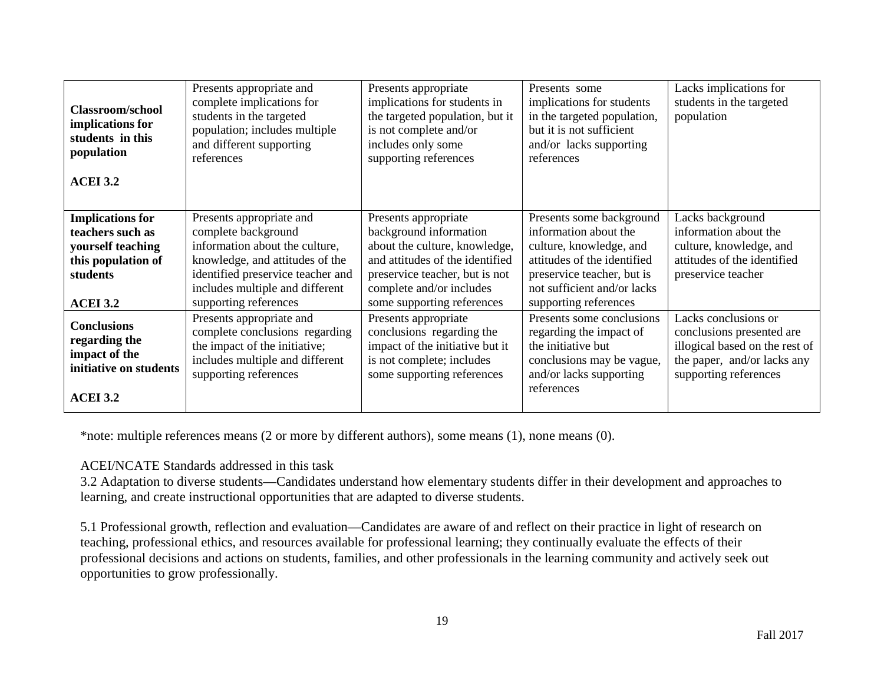| <b>Classroom/school</b><br>implications for<br>students in this<br>population<br><b>ACEI 3.2</b>                      | Presents appropriate and<br>complete implications for<br>students in the targeted<br>population; includes multiple<br>and different supporting<br>references                                                          | Presents appropriate<br>implications for students in<br>the targeted population, but it<br>is not complete and/or<br>includes only some<br>supporting references                                               | Presents some<br>implications for students<br>in the targeted population,<br>but it is not sufficient<br>and/or lacks supporting<br>references                                                    | Lacks implications for<br>students in the targeted<br>population                                                                            |
|-----------------------------------------------------------------------------------------------------------------------|-----------------------------------------------------------------------------------------------------------------------------------------------------------------------------------------------------------------------|----------------------------------------------------------------------------------------------------------------------------------------------------------------------------------------------------------------|---------------------------------------------------------------------------------------------------------------------------------------------------------------------------------------------------|---------------------------------------------------------------------------------------------------------------------------------------------|
| <b>Implications for</b><br>teachers such as<br>yourself teaching<br>this population of<br>students<br><b>ACEI 3.2</b> | Presents appropriate and<br>complete background<br>information about the culture,<br>knowledge, and attitudes of the<br>identified preservice teacher and<br>includes multiple and different<br>supporting references | Presents appropriate<br>background information<br>about the culture, knowledge,<br>and attitudes of the identified<br>preservice teacher, but is not<br>complete and/or includes<br>some supporting references | Presents some background<br>information about the<br>culture, knowledge, and<br>attitudes of the identified<br>preservice teacher, but is<br>not sufficient and/or lacks<br>supporting references | Lacks background<br>information about the<br>culture, knowledge, and<br>attitudes of the identified<br>preservice teacher                   |
| <b>Conclusions</b><br>regarding the<br>impact of the<br>initiative on students<br><b>ACEI 3.2</b>                     | Presents appropriate and<br>complete conclusions regarding<br>the impact of the initiative;<br>includes multiple and different<br>supporting references                                                               | Presents appropriate<br>conclusions regarding the<br>impact of the initiative but it<br>is not complete; includes<br>some supporting references                                                                | Presents some conclusions<br>regarding the impact of<br>the initiative but<br>conclusions may be vague,<br>and/or lacks supporting<br>references                                                  | Lacks conclusions or<br>conclusions presented are<br>illogical based on the rest of<br>the paper, and/or lacks any<br>supporting references |

\*note: multiple references means (2 or more by different authors), some means (1), none means (0).

#### ACEI/NCATE Standards addressed in this task

3.2 Adaptation to diverse students—Candidates understand how elementary students differ in their development and approaches to learning, and create instructional opportunities that are adapted to diverse students.

5.1 Professional growth, reflection and evaluation—Candidates are aware of and reflect on their practice in light of research on teaching, professional ethics, and resources available for professional learning; they continually evaluate the effects of their professional decisions and actions on students, families, and other professionals in the learning community and actively seek out opportunities to grow professionally.